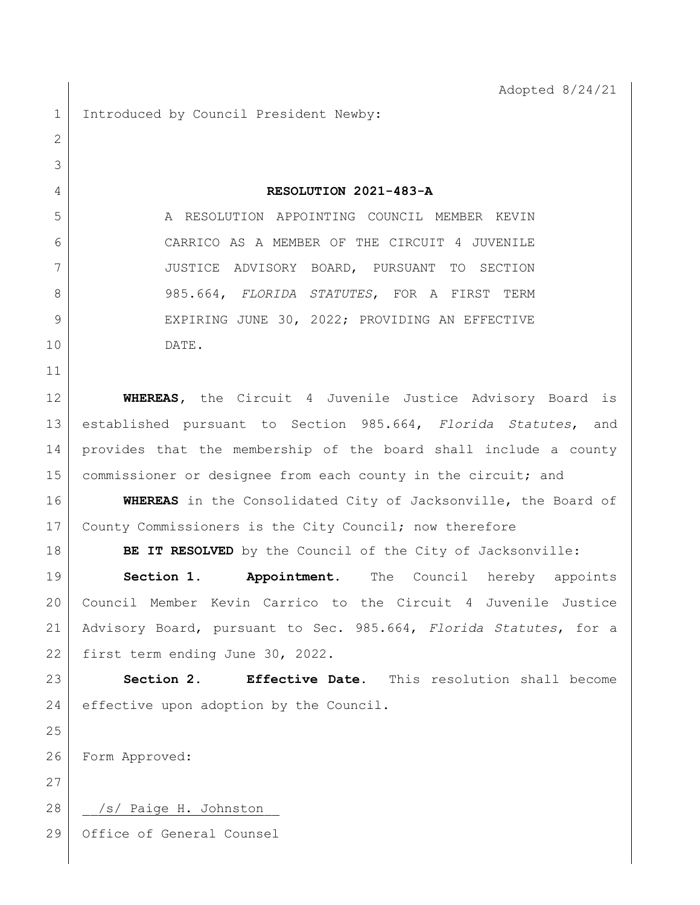1 Introduced by Council President Newby:

 **RESOLUTION 2021-483-A** 5 A RESOLUTION APPOINTING COUNCIL MEMBER KEVIN CARRICO AS A MEMBER OF THE CIRCUIT 4 JUVENILE JUSTICE ADVISORY BOARD, PURSUANT TO SECTION 985.664, *FLORIDA STATUTES*, FOR A FIRST TERM 9 EXPIRING JUNE 30, 2022; PROVIDING AN EFFECTIVE DATE.

**WHEREAS**, the Circuit 4 Juvenile Justice Advisory Board is established pursuant to Section 985.664, *Florida Statutes*, and provides that the membership of the board shall include a county 15 commissioner or designee from each county in the circuit; and

 **WHEREAS** in the Consolidated City of Jacksonville, the Board of 17 County Commissioners is the City Council; now therefore

**BE IT RESOLVED** by the Council of the City of Jacksonville:

 **Section 1. Appointment.** The Council hereby appoints Council Member Kevin Carrico to the Circuit 4 Juvenile Justice Advisory Board, pursuant to Sec. 985.664, *Florida Statutes*, for a first term ending June 30, 2022.

 **Section 2. Effective Date.** This resolution shall become 24 effective upon adoption by the Council.

Form Approved:

28 | /s/ Paige H. Johnston

Office of General Counsel